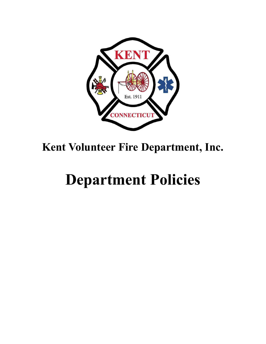

# **Kent Volunteer Fire Department, Inc.**

# **Department Policies**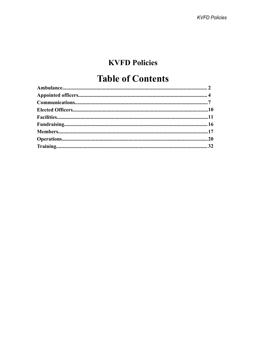# **KVFD Policies**

# **Table of Contents**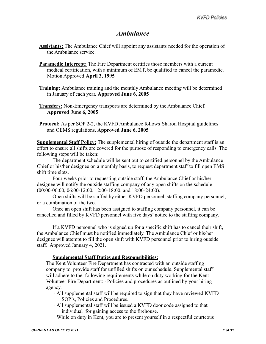## *Ambulance*

- <span id="page-2-1"></span><span id="page-2-0"></span>**Assistants:** The Ambulance Chief will appoint any assistants needed for the operation of the Ambulance service.
- **Paramedic Intercept:** The Fire Department certifies those members with a current medical certification, with a minimum of EMT, be qualified to cancel the paramedic. Motion Approved **April 3, 1995**
- **Training:** Ambulance training and the monthly Ambulance meeting will be determined in January of each year. **Approved June 6, 2005**
- **Transfers:** Non-Emergency transports are determined by the Ambulance Chief. **Approved June 6, 2005**
- **Protocol:** As per SOP 2-2, the KVFD Ambulance follows Sharon Hospital guidelines and OEMS regulations. **Approved June 6, 2005**

**Supplemental Staff Policy:** The supplemental hiring of outside the department staff is an effort to ensure all shifts are covered for the purpose of responding to emergency calls. The following steps will be taken:

The department schedule will be sent out to certified personnel by the Ambulance Chief or his/her designee on a monthly basis, to request department staff to fill open EMS shift time slots.

Four weeks prior to requesting outside staff, the Ambulance Chief or his/her designee will notify the outside staffing company of any open shifts on the schedule (00:00-06:00, 06:00-12:00, 12:00-18:00, and 18:00-24:00).

Open shifts will be staffed by either KVFD personnel, staffing company personnel, or a combination of the two.

Once an open shift has been assigned to staffing company personnel, it can be cancelled and filled by KVFD personnel with five days' notice to the staffing company.

If a KVFD personnel who is signed up for a specific shift has to cancel their shift, the Ambulance Chief must be notified immediately. The Ambulance Chief or his/her designee will attempt to fill the open shift with KVFD personnel prior to hiring outside staff. Approved January 4, 2021.

#### **Supplemental Staff Duties and Responsibilities:**

The Kent Volunteer Fire Department has contracted with an outside staffing company to provide staff for unfilled shifts on our schedule. Supplemental staff will adhere to the following requirements while on duty working for the Kent Volunteer Fire Department: ∙ Policies and procedures as outlined by your hiring agency.

- ∙ All supplemental staff will be required to sign that they have reviewed KVFD SOP's, Policies and Procedures.
- ∙ All supplemental staff will be issued a KVFD door code assigned to that individual for gaining access to the firehouse.
- ∙ While on duty in Kent, you are to present yourself in a respectful courteous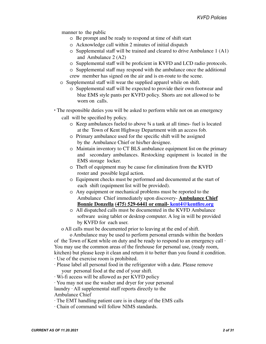manner to the public

- o Be prompt and be ready to respond at time of shift start
- o Acknowledge call within 2 minutes of initial dispatch
- o Supplemental staff will be trained and cleared to drive Ambulance 1 (A1) and Ambulance 2 (A2)
- o Supplemental staff will be proficient in KVFD and LCD radio protocols.
- o Supplemental staff may respond with the ambulance once the additional crew member has signed on the air and is en-route to the scene.
- o Supplemental staff will wear the supplied apparel while on shift.
	- o Supplemental staff will be expected to provide their own footwear and blue EMS style pants per KVFD policy. Shorts are not allowed to be worn on calls.
- ∙ The responsible duties you will be asked to perform while not on an emergency call will be specified by policy.
	- o Keep ambulances fueled to above ¾ a tank at all times- fuel is located at the Town of Kent Highway Department with an access fob.
	- o Primary ambulance used for the specific shift will be assigned by the Ambulance Chief or his/her designee.
	- o Maintain inventory to CT BLS ambulance equipment list on the primary and secondary ambulances. Restocking equipment is located in the EMS storage locker.
	- o Theft of equipment may be cause for elimination from the KVFD roster and possible legal action.
	- o Equipment checks must be performed and documented at the start of each shift (equipment list will be provided).
	- o Any equipment or mechanical problems must be reported to the Ambulance Chief immediately upon discovery- **Ambulance Chief Bonnie Donzella (475) 529-6441 or email- kent4@kentfire.org**
	- o All dispatched calls must be documented in the KVFD Ambulance software using tablet or desktop computer. A log in will be provided by KVFD for each user.

o All calls must be documented prior to leaving at the end of shift.

o Ambulance may be used to perform personal errands within the borders of the Town of Kent while on duty and be ready to respond to an emergency call ∙ You may use the common areas of the firehouse for personal use, (ready room, kitchen) but please keep it clean and return it to better than you found it condition.

∙ Use of the exercise room is prohibited.

- ∙ Please label all personal food in the refrigerator with a date. Please remove your personal food at the end of your shift.
- ∙ Wi-fi access will be allowed as per KVFD policy
- ∙ You may not use the washer and dryer for your personal

laundry ∙ All supplemental staff reports directly to the Ambulance Chief

∙ The EMT handling patient care is in charge of the EMS calls

∙ Chain of command will follow NIMS standards.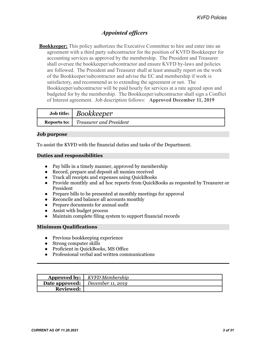## *Appointed officers*

<span id="page-4-0"></span>**Bookkeeper:** This policy authorizes the Executive Committee to hire and enter into an agreement with a third party subcontractor for the position of KVFD Bookkeeper for accounting services as approved by the membership. The President and Treasurer shall oversee the bookkeeper/subcontractor and ensure KVFD by-laws and policies are followed. The President and Treasurer shall at least annually report on the work of the Bookkeeper/subcontractor and advise the EC and membership if work is satisfactory, and recommend as to extending the agreement or not. The Bookkeeper/subcontractor will be paid hourly for services at a rate agreed upon and budgeted for by the membership. The Bookkeeper/subcontractor shall sign a Conflict of Interest agreement. Job description follows: **Approved December 11, 2019**

| Job title: $\vert$ Bookkeeper                       |
|-----------------------------------------------------|
| <b>Reports to:</b>   <i>Treasurer and President</i> |

#### **Job purpose**

To assist the KVFD with the financial duties and tasks of the Department.

#### **Duties and responsibilities**

- Pay bills in a timely manner, approved by membership
- Record, prepare and deposit all monies received
- Track all receipts and expenses using QuickBooks
- Provide monthly and ad hoc reports from QuickBooks as requested by Treasurer or President
- Prepare bills to be presented at monthly meetings for approval
- Reconcile and balance all accounts monthly
- Prepare documents for annual audit
- Assist with budget process
- Maintain complete filing system to support financial records

#### **Minimum Qualifications**

- Previous bookkeeping experience
- Strong computer skills
- Proficient in QuickBooks, MS Office
- Professional verbal and written communications

|                  | <b>Approved by:</b>   KVFD Membership                  |
|------------------|--------------------------------------------------------|
|                  | <b>Date approved:</b> $\vert$ <i>December 11, 2019</i> |
| <b>Reviewed:</b> |                                                        |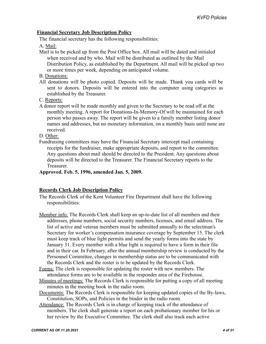#### **Financial Secretary Job Description Policy**

The financial secretary has the following responsibilities:

A. Mail:

Mail is to be picked up from the Post Office box. All mail will be dated and initialed when received and by who. Mail will be distributed as outlined by the Mail Distribution Policy, as established by the Department. All mail will be picked up two or more times per week, depending on anticipated volume.

B. Donations:

All donations will be photo copied. Deposits will be made. Thank you cards will be sent to donors. Deposits will be entered into the computer using categories as established by the Treasurer.

C. Reports:

A donor report will be made monthly and given to the Secretary to be read off at the monthly meeting. A report for Donations-In-Memory-Of will be maintained for each person who passes away. The report will be given to a family member listing donor names and addresses, but no monetary information, on a monthly basis until none are received.

D. Other:

Fundraising committees may have the Financial Secretary intercept mail containing receipts for the fundraiser, make appropriate deposits, and report to the committee. Any questions about mail should be directed to the President. Any questions about deposits will be directed to the Treasurer. The Financial Secretary reports to the **Treasurer** 

#### **Approved. Feb. 5, 1996, amended Jan. 5, 2009.**

#### **Records Clerk Job Description Policy**

- The Records Clerk of the Kent Volunteer Fire Department shall have the following responsibilities:
- Member info: The Records Clerk shall keep an up-to-date list of all members and their addresses, phone numbers, social security numbers, licenses, and email address. The list of active and veteran members must be submitted annually to the selectman's Secretary for worker's compensation insurance coverage by September 15. The clerk must keep track of blue light permits and send the yearly forms into the state by January 31. Every member with a blue light is required to have a form in their file and in their car. In February, after the annual membership review is conducted by the Personnel Committee, changes in membership status are to be communicated with the Records Clerk and the roster is to be updated by the Records Clerk.
- Forms: The clerk is responsible for updating the roster with new members. The attendance forms are to be available in the responder area of the Firehouse.
- Minutes of meetings: The Records Clerk is responsible for putting a copy of all meeting minutes in the meeting book in the radio room.
- Documents: The Records Clerk is responsible for keeping updated copies of the By-laws, Constitution, SOPs, and Policies in the binder in the radio room.
- Attendance: The Records Clerk is in charge of keeping track of the attendance of members. The clerk shall generate a report on each probationary member for his or her review by the Executive Committee. The clerk shall also track each active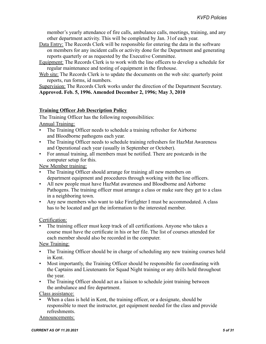member's yearly attendance of fire calls, ambulance calls, meetings, training, and any other department activity. This will be completed by Jan. 31of each year.

- Data Entry: The Records Clerk will be responsible for entering the data in the software on members for any incident calls or activity done for the Department and generating reports quarterly or as requested by the Executive Committee.
- Equipment: The Records Clerk is to work with the line officers to develop a schedule for regular maintenance and testing of equipment in the firehouse.
- Web site: The Records Clerk is to update the documents on the web site: quarterly point reports, run forms, id numbers.

Supervision: The Records Clerk works under the direction of the Department Secretary. **Approved. Feb. 5, 1996. Amended December 2, 1996; May 3, 2010**

#### **Training Officer Job Description Policy**

The Training Officer has the following responsibilities:

Annual Training:

- The Training Officer needs to schedule a training refresher for Airborne and Bloodborne pathogens each year.
- The Training Officer needs to schedule training refreshers for HazMat Awareness and Operational each year (usually in September or October).
- For annual training, all members must be notified. There are postcards in the computer setup for this.

New Member training:

- The Training Officer should arrange for training all new members on department equipment and procedures through working with the line officers.
- All new people must have HazMat awareness and Bloodborne and Airborne Pathogens. The training officer must arrange a class or make sure they get to a class in a neighboring town.
- Any new members who want to take Firefighter I must be accommodated. A class has to be located and get the information to the interested member.

Certification:

The training officer must keep track of all certifications. Anyone who takes a course must have the certificate in his or her file. The list of courses attended for each member should also be recorded in the computer.

New Training:

- The Training Officer should be in charge of scheduling any new training courses held in Kent.
- Most importantly, the Training Officer should be responsible for coordinating with the Captains and Lieutenants for Squad Night training or any drills held throughout the year.
- The Training Officer should act as a liaison to schedule joint training between the ambulance and fire department.

Class assistance:

When a class is held in Kent, the training officer, or a designate, should be responsible to meet the instructor, get equipment needed for the class and provide refreshments.

Announcements: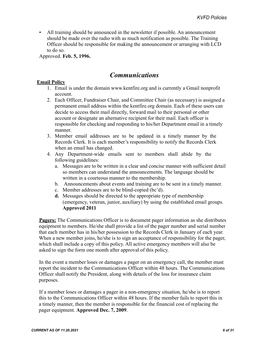<span id="page-7-1"></span>• All training should be announced in the newsletter if possible. An announcement should be made over the radio with as much notification as possible. The Training Officer should be responsible for making the announcement or arranging with LCD to do so.

<span id="page-7-0"></span>Approved. **Feb. 5, 1996.**

### *Communications*

#### **Email Policy**

- 1. Email is under the domain [www.kentfire.org](http://www.kentfire.org/) and is currently a Gmail nonprofit account.
- 2. Each Officer, Fundraiser Chair, and Committee Chair (as necessary) is assigned a permanent email address within the kentfire.org domain. Each of these users can decide to access their mail directly, forward mail to their personal or other account or designate an alternative recipient for their mail. Each officer is responsible for checking and responding to his/her Department email in a timely manner.
- 3. Member email addresses are to be updated in a timely manner by the Records Clerk. It is each member's responsibility to notify the Records Clerk when an email has changed.
- 4. Any Department-wide emails sent to members shall abide by the following guidelines:
	- a. Messages are to be written in a clear and concise manner with sufficient detail so members can understand the announcements. The language should be written in a courteous manner to the membership.
	- b. Announcements about events and training are to be sent in a timely manner.
	- c. Member addresses are to be blind-copied (bc'd).
	- **d.** Messages should be directed to the appropriate type of membership (emergency, veteran, junior, auxiliary) by using the established email groups. **Approved 2011**

**Pagers:** The Communications Officer is to document pager information as she distributes equipment to members. He/she shall provide a list of the pager number and serial number that each member has in his/her possession to the Records Clerk in January of each year. When a new member joins, he/she is to sign an acceptance of responsibility for the pager, which shall include a copy of this policy. All active emergency members will also be asked to sign the form one month after approval of this policy.

In the event a member loses or damages a pager on an emergency call, the member must report the incident to the Communications Officer within 48 hours. The Communications Officer shall notify the President, along with details of the loss for insurance claim purposes.

If a member loses or damages a pager in a non-emergency situation, he/she is to report this to the Communications Officer within 48 hours. If the member fails to report this in a timely manner, then the member is responsible for the financial cost of replacing the pager equipment. **Approved Dec. 7, 2009**.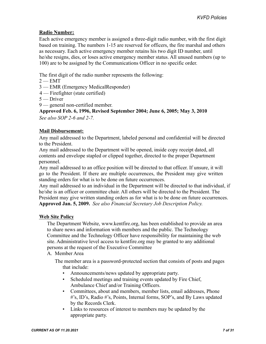#### **Radio Number:**

Each active emergency member is assigned a three-digit radio number, with the first digit based on training. The numbers 1-15 are reserved for officers, the fire marshal and others as necessary. Each active emergency member retains his two digit ID number, until he/she resigns, dies, or loses active emergency member status. All unused numbers (up to 100) are to be assigned by the Communications Officer in no specific order.

The first digit of the radio number represents the following:

- $2 EMT$
- 3 EMR (Emergency MedicalResponder)
- 4 Firefighter (state certified)
- 5 Driver
- 9 general non-certified member.

**Approved Feb. 6, 1996, Revised September 2004; June 6, 2005; May 3, 2010** *See also SOP 2-6 and 2-7.*

#### **Mail Disbursement:**

Any mail addressed to the Department, labeled personal and confidential will be directed to the President.

Any mail addressed to the Department will be opened, inside copy receipt dated, all contents and envelope stapled or clipped together, directed to the proper Department personnel.

Any mail addressed to an office position will be directed to that officer. If unsure, it will go to the President. If there are multiple occurrences, the President may give written standing orders for what is to be done on future occurrences.

Any mail addressed to an individual in the Department will be directed to that individual, if he/she is an officer or committee chair. All others will be directed to the President. The President may give written standing orders as for what is to be done on future occurrences. **Approved Jan. 5, 2009.** *See also Financial Secretary Job Description Policy.*

#### **Web Site Policy**

The Department Website, [www.kentfire.org,](http://www.kentfire.org/) has been established to provide an area to share news and information with members and the public. The Technology Committee and the Technology Officer have responsibility for maintaining the web site. Administrative level access to kentfire.org may be granted to any additional persons at the request of the Executive Committee

#### A. Member Area

The member area is a password-protected section that consists of posts and pages that include:

- Announcements/news updated by appropriate party.
- Scheduled meetings and training events updated by Fire Chief, Ambulance Chief and/or Training Officers.
- Committees, about and members, member lists, email addresses, Phone #'s, ID's, Radio #'s, Points, Internal forms, SOP's, and By Laws updated by the Records Clerk.
- Links to resources of interest to members may be updated by the appropriate party.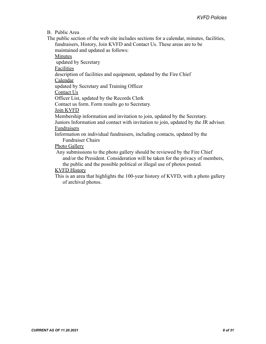B. Public Area

The public section of the web site includes sections for a calendar, minutes, facilities, fundraisers, History, Join KVFD and Contact Us. These areas are to be maintained and updated as follows:

Minutes

updated by Secretary

Facilities

description of facilities and equipment, updated by the Fire Chief

Calendar

updated by Secretary and Training Officer

Contact Us

Officer List, updated by the Records Clerk

Contact us form. Form results go to Secretary.

Join KVFD

Membership information and invitation to join, updated by the Secretary.

Juniors Information and contact with invitation to join, updated by the JR adviser. Fundraisers

Information on individual fundraisers, including contacts, updated by the Fundraiser Chairs

Photo Gallery

Any submissions to the photo gallery should be reviewed by the Fire Chief and/or the President. Consideration will be taken for the privacy of members, the public and the possible political or illegal use of photos posted.

#### KVFD History

This is an area that highlights the 100-year history of KVFD, with a photo gallery of archival photos.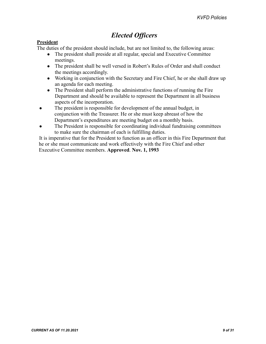# *Elected Officers*

#### <span id="page-10-1"></span><span id="page-10-0"></span>**President**

The duties of the president should include, but are not limited to, the following areas:

- The president shall preside at all regular, special and Executive Committee meetings.
- The president shall be well versed in Robert's Rules of Order and shall conduct the meetings accordingly.
- Working in conjunction with the Secretary and Fire Chief, he or she shall draw up an agenda for each meeting.
- The President shall perform the administrative functions of running the Fire Department and should be available to represent the Department in all business aspects of the incorporation.
- The president is responsible for development of the annual budget, in conjunction with the Treasurer. He or she must keep abreast of how the Department's expenditures are meeting budget on a monthly basis.
- The President is responsible for coordinating individual fundraising committees to make sure the chairman of each is fulfilling duties.

It is imperative that for the President to function as an officer in this Fire Department that he or she must communicate and work effectively with the Fire Chief and other Executive Committee members. **Approved**. **Nov. 1, 1993**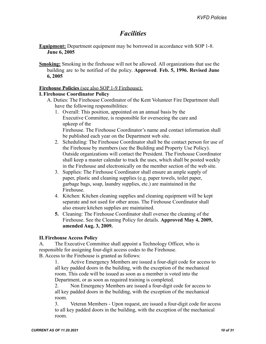# *Facilities*

<span id="page-11-1"></span><span id="page-11-0"></span>**Equipment:** Department equipment may be borrowed in accordance with SOP 1-8. **June 6, 2005**

**Smoking:** Smoking in the firehouse will not be allowed. All organizations that use the building are to be notified of the policy. **Approved**. **Feb. 5, 1996. Revised June 6, 2005**

#### **Firehouse Policies** (see also SOP 1-9 Firehouse):

#### **I. Firehouse Coordinator Policy**

- A. Duties: The Firehouse Coordinator of the Kent Volunteer Fire Department shall have the following responsibilities:
	- 1. Overall: This position, appointed on an annual basis by the Executive Committee, is responsible for overseeing the care and upkeep of the Firehouse. The Firehouse Coordinator's name and contact information shall be published each year on the Department web site.
	- 2. Scheduling: The Firehouse Coordinator shall be the contact person for use of the Firehouse by members (see the Building and Property Use Policy). Outside organizations will contact the President. The Firehouse Coordinator shall keep a master calendar to track the uses, which shall be posted weekly in the Firehouse and electronically on the member section of the web site.
	- 3. Supplies: The Firehouse Coordinator shall ensure an ample supply of paper, plastic and cleaning supplies (e.g. paper towels, toilet paper, garbage bags, soap, laundry supplies, etc.) are maintained in the Firehouse.
	- 4. Kitchen: Kitchen cleaning supplies and cleaning equipment will be kept separate and not used for other areas. The Firehouse Coordinator shall also ensure kitchen supplies are maintained.
	- **5.** Cleaning: The Firehouse Coordinator shall oversee the cleaning of the Firehouse. See the Cleaning Policy for details. **Approved May 4, 2009, amended Aug. 3, 2009.**

#### **II.Firehouse Access Policy**

A. The Executive Committee shall appoint a Technology Officer, who is responsible for assigning four-digit access codes to the Firehouse. B. Access to the Firehouse is granted as follows:

1. Active Emergency Members are issued a four-digit code for access to all key padded doors in the building, with the exception of the mechanical room. This code will be issued as soon as a member is voted into the Department, or as soon as required training is completed.

2. Non Emergency Members are issued a four-digit code for access to all key padded doors in the building, with the exception of the mechanical room.

3. Veteran Members - Upon request, are issued a four-digit code for access to all key padded doors in the building, with the exception of the mechanical room.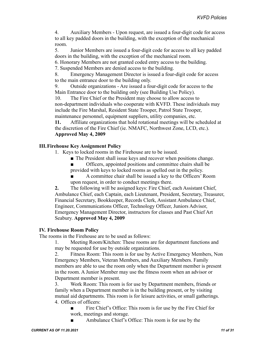4. Auxiliary Members - Upon request, are issued a four-digit code for access to all key padded doors in the building, with the exception of the mechanical room.

5. Junior Members are issued a four-digit code for access to all key padded doors in the building, with the exception of the mechanical room.

6. Honorary Members are not granted coded entry access to the building.

7. Suspended Members are denied access to the building.

8. Emergency Management Director is issued a four-digit code for access to the main entrance door to the building only.

9. Outside organizations - Are issued a four-digit code for access to the Main Entrance door to the building only (see Building Use Policy).

10. The Fire Chief or the President may choose to allow access to non-department individuals who cooperate with KVFD. These individuals may include the Fire Marshal, Resident State Trooper, Patrol State Trooper, maintenance personnel, equipment suppliers, utility companies, etc.

**11.** Affiliate organizations that hold rotational meetings will be scheduled at the discretion of the Fire Chief (ie. NMAFC, Northwest Zone, LCD, etc.). **Approved May 4, 2009**

#### **III.Firehouse Key Assignment Policy**

- 1. Keys to locked rooms in the Firehouse are to be issued.
	- The President shall issue keys and recover when positions change.
	- Officers, appointed positions and committee chairs shall be
	- provided with keys to locked rooms as spelled out in the policy.
	- A committee chair shall be issued a key to the Officers' Room upon request, in order to conduct meetings there.

**2.** The following will be assigned keys: Fire Chief, each Assistant Chief, Ambulance Chief, each Captain, each Lieutenant, President, Secretary, Treasurer, Financial Secretary, Bookkeeper, Records Clerk, Assistant Ambulance Chief, Engineer, Communications Officer, Technology Officer, Juniors Advisor, Emergency Management Director, instructors for classes and Past Chief Art Seabury. **Approved May 4, 2009**

#### **IV. Firehouse Room Policy**

The rooms in the Firehouse are to be used as follows:

1. Meeting Room/Kitchen: These rooms are for department functions and may be requested for use by outside organizations.

2. Fitness Room: This room is for use by Active Emergency Members, Non Emergency Members, Veteran Members, and Auxiliary Members. Family members are able to use the room only when the Department member is present in the room. A Junior Member may use the fitness room when an advisor or Department member is present.

3. Work Room: This room is for use by Department members, friends or family when a Department member is in the building present, or by visiting mutual aid departments. This room is for leisure activities, or small gatherings. 4. Offices of officers:

- Fire Chief's Office: This room is for use by the Fire Chief for work, meetings and storage.
- Ambulance Chief's Office: This room is for use by the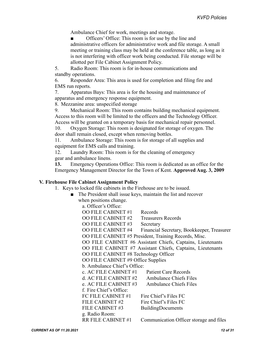Ambulance Chief for work, meetings and storage.

Officers' Office: This room is for use by the line and administrative officers for administrative work and file storage. A small meeting or training class may be held at the conference table, as long as it is not interfering with officer work being conducted. File storage will be allotted per File Cabinet Assignment Policy.

5. Radio Room: This room is for in-house communications and standby operations.

6. Responder Area: This area is used for completion and filing fire and EMS run reports.

7. Apparatus Bays: This area is for the housing and maintenance of apparatus and emergency response equipment.

8. Mezzanine area: unspecified storage

9. Mechanical Room: This room contains building mechanical equipment. Access to this room will be limited to the officers and the Technology Officer. Access will be granted on a temporary basis for mechanical repair personnel.

10. Oxygen Storage: This room is designated for storage of oxygen. The door shall remain closed, except when removing bottles.

11. Ambulance Storage: This room is for storage of all supplies and equipment for EMS calls and training.

12. Laundry Room: This room is for the cleaning of emergency gear and ambulance linens.

**13.** Emergency Operations Office: This room is dedicated as an office for the Emergency Management Director for the Town of Kent. **Approved Aug. 3, 2009**

#### **V. Firehouse File Cabinet Assignment Policy**

1. Keys to locked file cabinets in the Firehouse are to be issued.

■ The President shall issue keys, maintain the list and recover when positions change.

a. Officer's Office:

OO FILE CABINET #1 Records OO FILE CABINET #2 Treasurers Records OO FILE CABINET #3 Secretary OO FILE CABINET #4 Financial Secretary, Bookkeeper, Treasurer OO FILE CABINET #5 President, Training Records, Misc. OO FILE CABINET #6 Assistant Chiefs, Captains, Lieutenants OO FILE CABINET #7 Assistant Chiefs, Captains, Lieutenants OO FILE CABINET #8 Technology Officer OO FILE CABINET #9 Office Supplies b. Ambulance Chief's Office: c. AC FILE CABINET #1 Patient Care Records d. AC FILE CABINET #2 Ambulance Chiefs Files e. AC FILE CABINET #3 Ambulance Chiefs Files f. Fire Chief's Office: FC FILE CABINET  $#1$  Fire Chief's Files FC FILE CABINET  $#2$  Fire Chief's Files FC FILE CABINET #3 BuildingDocuments g. Radio Room: RR FILE CABINET #1 Communication Officer storage and files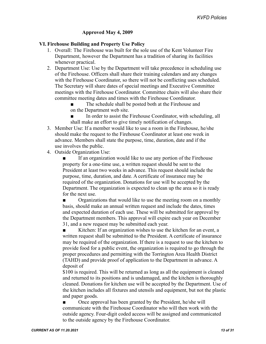#### **Approved May 4, 2009**

#### **VI. Firehouse Building and Property Use Policy**

- 1. Overall: The Firehouse was built for the sole use of the Kent Volunteer Fire Department, however the Department has a tradition of sharing its facilities whenever practical.
- 2. Department Use: Use by the Department will take precedence in scheduling use of the Firehouse. Officers shall share their training calendars and any changes with the Firehouse Coordinator, so there will not be conflicting uses scheduled. The Secretary will share dates of special meetings and Executive Committee meetings with the Firehouse Coordinator. Committee chairs will also share their committee meeting dates and times with the Firehouse Coordinator.
	- The schedule shall be posted both at the Firehouse and on the Department web site.
	- In order to assist the Firehouse Coordinator, with scheduling, all shall make an effort to give timely notification of changes.
- 3. Member Use: If a member would like to use a room in the Firehouse, he/she should make the request to the Firehouse Coordinator at least one week in advance. Members shall state the purpose, time, duration, date and if the use involves the public.
- 4. Outside Organization Use:

If an organization would like to use any portion of the Firehouse property for a one-time use, a written request should be sent to the President at least two weeks in advance. This request should include the purpose, time, duration, and date. A certificate of insurance may be required of the organization. Donations for use will be accepted by the Department. The organization is expected to clean up the area so it is ready for the next use.

■ Organizations that would like to use the meeting room on a monthly basis, should make an annual written request and include the dates, times and expected duration of each use. These will be submitted for approval by the Department members. This approval will expire each year on December 31, and a new request may be submitted each year.

■ Kitchen: If an organization wishes to use the kitchen for an event, a written request shall be submitted to the President. A certificate of insurance may be required of the organization. If there is a request to use the kitchen to provide food for a public event, the organization is required to go through the proper procedures and permitting with the Torrington Area Health District (TAHD) and provide proof of application to the Department in advance. A deposit of

\$100 is required. This will be returned as long as all the equipment is cleaned and returned to its positions and is undamaged, and the kitchen is thoroughly cleaned. Donations for kitchen use will be accepted by the Department. Use of the kitchen includes all fixtures and utensils and equipment, but not the plastic and paper goods.

■ Once approval has been granted by the President, he/she will communicate with the Firehouse Coordinator who will then work with the outside agency. Four-digit coded access will be assigned and communicated to the outside agency by the Firehouse Coordinator.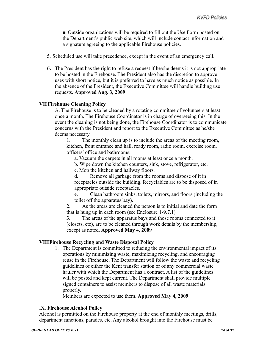■ Outside organizations will be required to fill out the Use Form posted on the Department's public web site, which will include contact information and a signature agreeing to the applicable Firehouse policies.

- 5. Scheduled use will take precedence, except in the event of an emergency call.
- **6.** The President has the right to refuse a request if he/she deems it is not appropriate to be hosted in the Firehouse. The President also has the discretion to approve uses with short notice, but it is preferred to have as much notice as possible. In the absence of the President, the Executive Committee will handle building use requests. **Approved Aug. 3, 2009**

#### **VII Firehouse Cleaning Policy**

A. The Firehouse is to be cleaned by a rotating committee of volunteers at least once a month. The Firehouse Coordinator is in charge of overseeing this. In the event the cleaning is not being done, the Firehouse Coordinator is to communicate concerns with the President and report to the Executive Committee as he/she deems necessary.

1. The monthly clean up is to include the areas of the meeting room, kitchen, front entrance and hall, ready room, radio room, exercise room, officers' office and bathrooms:

a. Vacuum the carpets in all rooms at least once a month.

b. Wipe down the kitchen counters, sink, stove, refrigerator, etc.

c. Mop the kitchen and hallway floors.

d. Remove all garbage from the rooms and dispose of it in receptacles outside the building. Recyclables are to be disposed of in appropriate outside receptacles.

e. Clean bathroom sinks, toilets, mirrors, and floors (including the toilet off the apparatus bay).

2. As the areas are cleaned the person is to initial and date the form that is hung up in each room (see Enclosure 1-9.7.1)

**3.** The areas of the apparatus bays and those rooms connected to it (closets, etc), are to be cleaned through work details by the membership, except as noted. **Approved May 4, 2009**

#### **VIIIFirehouse Recycling and Waste Disposal Policy**

1. The Department is committed to reducing the environmental impact of its operations by minimizing waste, maximizing recycling, and encouraging reuse in the Firehouse. The Department will follow the waste and recycling guidelines of either the Kent transfer station or of any commercial waste hauler with which the Department has a contract. A list of the guidelines will be posted and kept current. The Department shall provide multiple signed containers to assist members to dispose of all waste materials properly.

Members are expected to use them. **Approved May 4, 2009**

#### IX. **Firehouse Alcohol Policy**

Alcohol is permitted on the Firehouse property at the end of monthly meetings, drills, department functions, parades, etc. Any alcohol brought into the Firehouse must be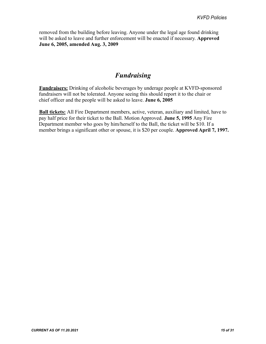<span id="page-16-1"></span><span id="page-16-0"></span>removed from the building before leaving. Anyone under the legal age found drinking will be asked to leave and further enforcement will be enacted if necessary. **Approved June 6, 2005, amended Aug. 3, 2009**

# *Fundraising*

**Fundraisers:** Drinking of alcoholic beverages by underage people at KVFD-sponsored fundraisers will not be tolerated. Anyone seeing this should report it to the chair or chief officer and the people will be asked to leave. **June 6, 2005**

**Ball tickets:** All Fire Department members, active, veteran, auxiliary and limited, have to pay half price for their ticket to the Ball. Motion Approved. **June 5, 1995** Any Fire Department member who goes by him/herself to the Ball, the ticket will be \$10. If a member brings a significant other or spouse, it is \$20 per couple. **Approved April 7, 1997.**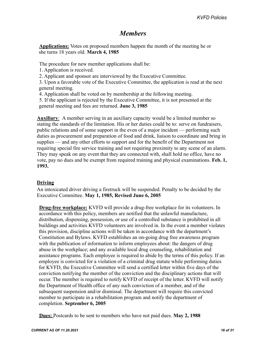# *Members*

<span id="page-17-1"></span><span id="page-17-0"></span>**Applications:** Votes on proposed members happen the month of the meeting he or she turns 18 years old. **March 4, 1985**

The procedure for new member applications shall be:

1. Application is received.

2. Applicant and sponsor are interviewed by the Executive Committee.

3. Upon a favorable vote of the Executive Committee, the application is read at the next general meeting.

4. Application shall be voted on by membership at the following meeting.

5. If the applicant is rejected by the Executive Committee, it is not presented at the general meeting and fees are returned. **June 3, 1985**

**Auxiliary**: A member serving in an auxiliary capacity would be a limited member so stating the standards of the limitation. His or her duties could be to: serve on fundraisers, public relations and of some support in the even of a major incident — performing such duties as procurement and preparation of food and drink, liaison to coordinate and bring in supplies — and any other efforts to support and for the benefit of the Department not requiring special fire service training and not requiring proximity to any scene of an alarm. They may speak on any event that they are connected with, shall hold no office, have no vote, pay no dues and be exempt from required training and physical examinations. **Feb. 1, 1993.**

#### **Driving**

An intoxicated driver driving a firetruck will be suspended. Penalty to be decided by the Executive Committee. **May 1, 1985, Revised June 6, 2005**

**Drug-free workplace:** KVFD will provide a drug-free workplace for its volunteers. In accordance with this policy, members are notified that the unlawful manufacture, distribution, dispensing, possession, or use of a controlled substance is prohibited in all buildings and activities KVFD volunteers are involved in. In the event a member violates this provision, discipline actions will be taken in accordance with the department's Constitution and Bylaws. KVFD establishes an on-going drug free awareness program with the publication of information to inform employees about: the dangers of drug abuse in the workplace; and any available local drug counseling, rehabilitation and assistance programs. Each employee is required to abide by the terms of this policy. If an employee is convicted for a violation of a criminal drug statute while performing duties for KVFD, the Executive Committee will send a certified letter within five days of the conviction notifying the member of the conviction and the disciplinary actions that will occur. The member is required to notify KVFD of receipt of the letter. KVFD will notify the Department of Health office of any such conviction of a member, and of the subsequent suspension and/or dismissal. The department will require this convicted member to participate in a rehabilitation program and notify the department of completion. **September 6, 2005**

**Dues:** Postcards to be sent to members who have not paid dues. **May 2, 1988**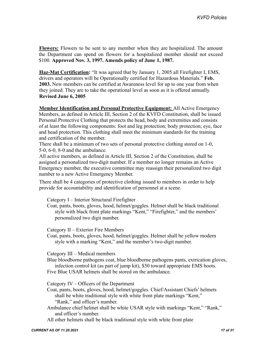**Flowers:** Flowers to be sent to any member when they are hospitalized. The amount the Department can spend on flowers for a hospitalized member should not exceed \$100. **Approved Nov. 3, 1997. Amends policy of June 1, 1987.**

**Haz-Mat Certification:** "It was agreed that by January 1, 2005 all Firefighter I, EMS, drivers and operators will be Operationally certified for Hazardous Materials." **Feb. 2003.** New members can be certified at Awareness level for up to one year from when they joined. They are to take the operational level as soon as it is offered annually. **Revised June 6, 2005**

**Member Identification and Personal Protective Equipment:** All Active Emergency Members, as defined in Article III, Section 2 of the KVFD Constitution, shall be issued Personal Protective Clothing that protects the head, body and extremities and consists of at least the following components: foot and leg protection; body protection; eye, face and head protection. This clothing shall meet the minimum standards for the training and certification of the member.

There shall be a minimum of two sets of personal protective clothing stored on 1-0, 5-0, 6-0, 8-0 and the ambulance.

All active members, as defined in Article III, Section 2 of the Constitution, shall be assigned a personalized two-digit number. If a member no longer remains an Active Emergency member, the executive committee may reassign their personalized two digit number to a new Active Emergency Member.

There shall be 4 categories of protective clothing issued to members in order to help provide for accountability and identification of personnel at a scene.

Category I – Interior Structural Firefighter

Coat, pants, boots, gloves, hood, helmet/goggles. Helmet shall be black traditional style with black front plate markings "Kent," "Firefighter," and the members' personalized two digit number.

Category II – Exterior Fire Members

Coat, pants, boots, gloves, hood, helmet/goggles. Helmet shall be yellow modern style with a marking "Kent," and the member's two-digit number.

Category III – Medical members

Blue bloodborne pathogens coat, blue bloodborne pathogens pants, extrication gloves, infection control kit (as part of jump kit), \$50 toward appropriate EMS boots.

Five Blue USAR helmets shall be stored on the ambulance.

Category IV – Officers of the Department

Coat, pants, boots, gloves, hood, helmet/goggles. Chief/Assistant Chiefs' helmets shall be white traditional style with white front plate markings "Kent," "Rank," and officer's number.

Ambulance chief helmet shall be white USAR style with markings "Kent," "Rank," and officer's number.

All other helmets shall be black traditional style with white front plate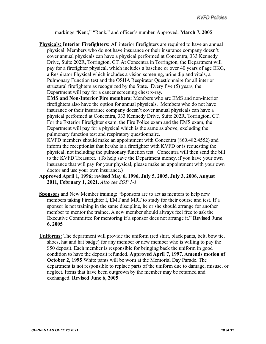markings "Kent," "Rank," and officer's number. Approved. **March 7, 2005**

**Physicals: Interior Firefighters:** All interior firefighters are required to have an annual physical. Members who do not have insurance or their insurance company doesn't cover annual physicals can have a physical performed at Concentra, 333 Kennedy Drive, Suite 202R, Torrington, CT. At Concentra in Torrington, the Department will pay for a firefighter physical, which includes a baseline or over 40 years of age EKG, a Respirator Physical which includes a vision screening, urine dip and vitals, a Pulmonary Function test and the OSHA Respirator Questionnaire for all interior structural firefighters as recognized by the State. Every five (5) years, the Department will pay for a cancer screening chest x-ray.

**EMS and Non-Interior Fire members:** Members who are EMS and non-interior firefighters also have the option for annual physicals. Members who do not have insurance or their insurance company doesn't cover annual physicals can have a physical performed at Concentra, 333 Kennedy Drive, Suite 202R, Torrington, CT. For the Exterior Firefighter exam, the Fire Police exam and the EMS exam, the Department will pay for a physical which is the same as above, excluding the pulmonary function test and respiratory questionnaire.

KVFD members should make an appointment with Concentra (860.482.4552) and inform the receptionist that he/she is a firefighter with KVFD or is requesting the physical, not including the pulmonary function test. Concentra will then send the bill to the KVFD Treasurer. (To help save the Department money, if you have your own insurance that will pay for your physical, please make an appointment with your own doctor and use your own insurance.)

- **Approved April 1, 1996; revised May 6, 1996, July 5, 2005, July 3, 2006, August 2011, February 1, 2021.** *Also see SOP 1-1*
- **Sponsors** and New Member training: "Sponsors are to act as mentors to help new members taking Firefighter I, EMT and MRT to study for their course and test. If a sponsor is not training in the same discipline, he or she should arrange for another member to mentor the trainee. A new member should always feel free to ask the Executive Committee for mentoring if a sponsor does not arrange it." **Revised June 6, 2005**
- **Uniforms:** The department will provide the uniform (red shirt, black pants, belt, bow tie, shoes, hat and hat badge) for any member or new member who is willing to pay the \$50 deposit. Each member is responsible for bringing back the uniform in good condition to have the deposit refunded. **Approved April 7, 1997. Amends motion of October 2, 1995** White pants will be worn at the Memorial Day Parade. The department is not responsible to replace parts of the uniform due to damage, misuse, or neglect. Items that have been outgrown by the member may be returned and exchanged. **Revised June 6, 2005**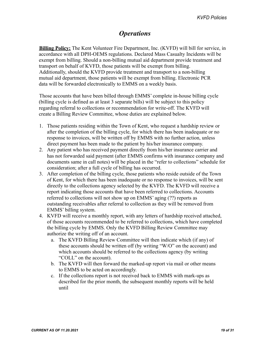# *Operations*

<span id="page-20-1"></span><span id="page-20-0"></span>**Billing Policy:** The Kent Volunteer Fire Department, Inc. (KVFD) will bill for service, in accordance with all DPH-OEMS regulations. Declared Mass Casualty Incidents will be exempt from billing. Should a non-billing mutual aid department provide treatment and transport on behalf of KVFD, those patients will be exempt from billing. Additionally, should the KVFD provide treatment and transport to a non-billing mutual aid department, those patients will be exempt from billing. Electronic PCR data will be forwarded electronically to EMMS on a weekly basis.

Those accounts that have been billed through EMMS' complete in-house billing cycle (billing cycle is defined as at least 3 separate bills) will be subject to this policy regarding referral to collections or recommendation for write-off. The KVFD will create a Billing Review Committee, whose duties are explained below.

- 1. Those patients residing within the Town of Kent, who request a hardship review or after the completion of the billing cycle, for which there has been inadequate or no response to invoices, will be written off by EMMS with no further action, unless direct payment has been made to the patient by his/her insurance company.
- 2. Any patient who has received payment directly from his/her insurance carrier and has not forwarded said payment (after EMMS confirms with insurance company and documents same in call notes) will be placed in the "refer to collections" schedule for consideration; after a full cycle of billing has occurred.
- 3. After completion of the billing cycle, those patients who reside outside of the Town of Kent, for which there has been inadequate or no response to invoices, will be sent directly to the collections agency selected by the KVFD. The KVFD will receive a report indicating those accounts that have been referred to collections. Accounts referred to collections will not show up on EMMS' aging (??) reports as outstanding receivables after referral to collection as they will be removed from EMMS' billing system.
- 4. KVFD will receive a monthly report, with any letters of hardship received attached, of those accounts recommended to be referred to collections, which have completed the billing cycle by EMMS. Only the KVFD Billing Review Committee may authorize the writing off of an account.
	- a. The KVFD Billing Review Committee will then indicate which (if any) of these accounts should be written off (by writing "W/O" on the account) and which accounts should be referred to the collections agency (by writing "COLL" on the account).
	- b. The KVFD will then forward the marked-up report via mail or other means to EMMS to be acted on accordingly.
	- c. If the collections report is not received back to EMMS with mark-ups as described for the prior month, the subsequent monthly reports will be held until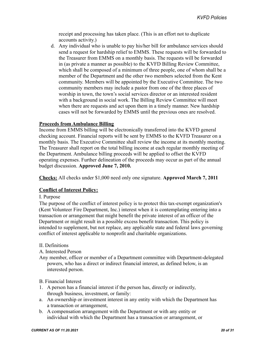receipt and processing has taken place. (This is an effort not to duplicate accounts activity.)

d. Any individual who is unable to pay his/her bill for ambulance services should send a request for hardship relief to EMMS. These requests will be forwarded to the Treasurer from EMMS on a monthly basis. The requests will be forwarded in (as private a manner as possible) to the KVFD Billing Review Committee, which shall be composed of a minimum of three people, one of whom shall be a member of the Department and the other two members selected from the Kent community. Members will be appointed by the Executive Committee. The two community members may include a pastor from one of the three places of worship in town, the town's social services director or an interested resident with a background in social work. The Billing Review Committee will meet when there are requests and act upon them in a timely manner. New hardship cases will not be forwarded by EMMS until the previous ones are resolved.

#### **Proceeds from Ambulance Billing**

Income from EMMS billing will be electronically transferred into the KVFD general checking account. Financial reports will be sent by EMMS to the KVFD Treasurer on a monthly basis. The Executive Committee shall review the income at its monthly meeting. The Treasurer shall report on the total billing income at each regular monthly meeting of the Department. Ambulance billing proceeds will be applied to offset the KVFD operating expenses. Further delineation of the proceeds may occur as part of the annual budget discussion. **Approved June 7, 2010.**

**Checks:** All checks under \$1,000 need only one signature. **Approved March 7, 2011**

#### **Conflict of Interest Policy:**

#### I. Purpose

The purpose of the conflict of interest policy is to protect this tax-exempt organization's (Kent Volunteer Fire Department, Inc.) interest when it is contemplating entering into a transaction or arrangement that might benefit the private interest of an officer of the Department or might result in a possible excess benefit transaction. This policy is intended to supplement, but not replace, any applicable state and federal laws governing conflict of interest applicable to nonprofit and charitable organizations.

#### II. Definitions

#### A. Interested Person

Any member, officer or member of a Department committee with Department-delegated powers, who has a direct or indirect financial interest, as defined below, is an interested person.

#### B. Financial Interest

- 1. A person has a financial interest if the person has, directly or indirectly, through business, investment, or family:
- a. An ownership or investment interest in any entity with which the Department has a transaction or arrangement,
- b. A compensation arrangement with the Department or with any entity or individual with which the Department has a transaction or arrangement, or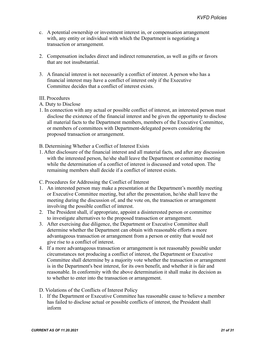- c. A potential ownership or investment interest in, or compensation arrangement with, any entity or individual with which the Department is negotiating a transaction or arrangement.
- 2. Compensation includes direct and indirect remuneration, as well as gifts or favors that are not insubstantial.
- 3. A financial interest is not necessarily a conflict of interest. A person who has a financial interest may have a conflict of interest only if the Executive Committee decides that a conflict of interest exists.

#### III. Procedures

- A. Duty to Disclose
- 1. In connection with any actual or possible conflict of interest, an interested person must disclose the existence of the financial interest and be given the opportunity to disclose all material facts to the Department members, members of the Executive Committee, or members of committees with Department-delegated powers considering the proposed transaction or arrangement.

#### B. Determining Whether a Conflict of Interest Exists

1. After disclosure of the financial interest and all material facts, and after any discussion with the interested person, he/she shall leave the Department or committee meeting while the determination of a conflict of interest is discussed and voted upon. The remaining members shall decide if a conflict of interest exists.

#### C. Procedures for Addressing the Conflict of Interest

- 1. An interested person may make a presentation at the Department's monthly meeting or Executive Committee meeting, but after the presentation, he/she shall leave the meeting during the discussion of, and the vote on, the transaction or arrangement involving the possible conflict of interest.
- 2. The President shall, if appropriate, appoint a disinterested person or committee to investigate alternatives to the proposed transaction or arrangement.
- 3. After exercising due diligence, the Department or Executive Committee shall determine whether the Department can obtain with reasonable efforts a more advantageous transaction or arrangement from a person or entity that would not give rise to a conflict of interest.
- 4. If a more advantageous transaction or arrangement is not reasonably possible under circumstances not producing a conflict of interest, the Department or Executive Committee shall determine by a majority vote whether the transaction or arrangement is in the Department's best interest, for its own benefit, and whether it is fair and reasonable. In conformity with the above determination it shall make its decision as to whether to enter into the transaction or arrangement.

#### D. Violations of the Conflicts of Interest Policy

1. If the Department or Executive Committee has reasonable cause to believe a member has failed to disclose actual or possible conflicts of interest, the President shall inform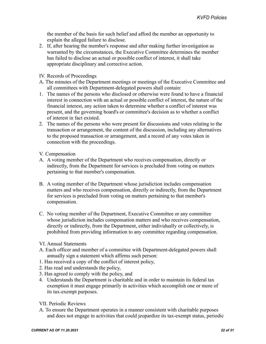the member of the basis for such belief and afford the member an opportunity to explain the alleged failure to disclose.

- 2. If, after hearing the member's response and after making further investigation as warranted by the circumstances, the Executive Committee determines the member has failed to disclose an actual or possible conflict of interest, it shall take appropriate disciplinary and corrective action.
- IV. Records of Proceedings
- A. The minutes of the Department meetings or meetings of the Executive Committee and all committees with Department-delegated powers shall contain:
- 1. The names of the persons who disclosed or otherwise were found to have a financial interest in connection with an actual or possible conflict of interest, the nature of the financial interest, any action taken to determine whether a conflict of interest was present, and the governing board's or committee's decision as to whether a conflict of interest in fact existed.
- 2. The names of the persons who were present for discussions and votes relating to the transaction or arrangement, the content of the discussion, including any alternatives to the proposed transaction or arrangement, and a record of any votes taken in connection with the proceedings.
- V. Compensation
- A. A voting member of the Department who receives compensation, directly or indirectly, from the Department for services is precluded from voting on matters pertaining to that member's compensation.
- B. A voting member of the Department whose jurisdiction includes compensation matters and who receives compensation, directly or indirectly, from the Department for services is precluded from voting on matters pertaining to that member's compensation.
- C. No voting member of the Department, Executive Committee or any committee whose jurisdiction includes compensation matters and who receives compensation, directly or indirectly, from the Department, either individually or collectively, is prohibited from providing information to any committee regarding compensation.
- VI. Annual Statements
- A. Each officer and member of a committee with Department-delegated powers shall annually sign a statement which affirms such person:
- 1. Has received a copy of the conflict of interest policy,
- 2. Has read and understands the policy,
- 3. Has agreed to comply with the policy, and
- 4. Understands the Department is charitable and in order to maintain its federal tax exemption it must engage primarily in activities which accomplish one or more of its tax-exempt purposes.
- VII. Periodic Reviews
- A. To ensure the Department operates in a manner consistent with charitable purposes and does not engage in activities that could jeopardize its tax-exempt status, periodic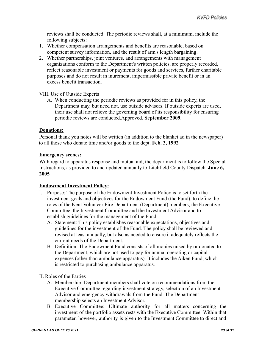reviews shall be conducted. The periodic reviews shall, at a minimum, include the following subjects:

- 1. Whether compensation arrangements and benefits are reasonable, based on competent survey information, and the result of arm's length bargaining.
- 2. Whether partnerships, joint ventures, and arrangements with management organizations conform to the Department's written policies, are properly recorded, reflect reasonable investment or payments for goods and services, further charitable purposes and do not result in inurement, impermissible private benefit or in an excess benefit transaction.

VIII. Use of Outside Experts

A. When conducting the periodic reviews as provided for in this policy, the Department may, but need not, use outside advisors. If outside experts are used, their use shall not relieve the governing board of its responsibility for ensuring periodic reviews are conducted.Approved. **September 2009.**

#### **Donations:**

Personal thank you notes will be written (in addition to the blanket ad in the newspaper) to all those who donate time and/or goods to the dept. **Feb. 3, 1992**

#### **Emergency scenes:**

With regard to apparatus response and mutual aid, the department is to follow the Special Instructions, as provided to and updated annually to Litchfield County Dispatch. **June 6, 2005**

#### **Endowment Investment Policy:**

- I. Purpose: The purpose of the Endowment Investment Policy is to set forth the investment goals and objectives for the Endowment Fund (the Fund), to define the roles of the Kent Volunteer Fire Department (Department) members, the Executive Committee, the Investment Committee and the Investment Advisor and to establish guidelines for the management of the Fund.
	- A. Statement: This policy establishes reasonable expectations, objectives and guidelines for the investment of the Fund. The policy shall be reviewed and revised at least annually, but also as needed to ensure it adequately reflects the current needs of the Department.
	- B. Definition: The Endowment Fund consists of all monies raised by or donated to the Department, which are not used to pay for annual operating or capital expenses (other than ambulance apparatus). It includes the Aiken Fund, which is restricted to purchasing ambulance apparatus.
- II. Roles of the Parties
	- A. Membership: Department members shall vote on recommendations from the Executive Committee regarding investment strategy, selection of an Investment Advisor and emergency withdrawals from the Fund. The Department membership selects an Investment Advisor.
	- B. Executive Committee: Ultimate authority for all matters concerning the investment of the portfolio assets rests with the Executive Committee. Within that parameter, however, authority is given to the Investment Committee to direct and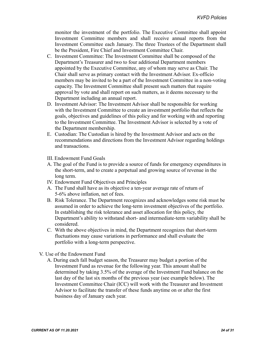monitor the investment of the portfolio. The Executive Committee shall appoint Investment Committee members and shall receive annual reports from the Investment Committee each January. The three Trustees of the Department shall be the President, Fire Chief and Investment Committee Chair.

- C. Investment Committee: The Investment Committee shall be composed of the Department's Treasurer and two to four additional Department members appointed by the Executive Committee, any of whom may serve as Chair. The Chair shall serve as primary contact with the Investment Advisor. Ex-officio members may be invited to be a part of the Investment Committee in a non-voting capacity. The Investment Committee shall present such matters that require approval by vote and shall report on such matters, as it deems necessary to the Department including an annual report.
- D. Investment Advisor: The Investment Advisor shall be responsible for working with the Investment Committee to create an investment portfolio that reflects the goals, objectives and guidelines of this policy and for working with and reporting to the Investment Committee. The Investment Advisor is selected by a vote of the Department membership.
- E. Custodian: The Custodian is hired by the Investment Advisor and acts on the recommendations and directions from the Investment Advisor regarding holdings and transactions.
- III. Endowment Fund Goals
- A. The goal of the Fund is to provide a source of funds for emergency expenditures in the short-term, and to create a perpetual and growing source of revenue in the long term.
- IV. Endowment Fund Objectives and Principles
- A. The Fund shall have as its objective a ten-year average rate of return of 5-6% above inflation, net of fees.
- B. Risk Tolerance. The Department recognizes and acknowledges some risk must be assumed in order to achieve the long-term investment objectives of the portfolio. In establishing the risk tolerance and asset allocation for this policy, the Department's ability to withstand short- and intermediate-term variability shall be considered.
- C. With the above objectives in mind, the Department recognizes that short-term fluctuations may cause variations in performance and shall evaluate the portfolio with a long-term perspective.
- V. Use of the Endowment Fund
	- A. During each fall budget season, the Treasurer may budget a portion of the Investment Fund as revenue for the following year. This amount shall be determined by taking 3.5% of the average of the Investment Fund balance on the last day of the last six months of the previous year (see example below). The Investment Committee Chair (ICC) will work with the Treasurer and Investment Advisor to facilitate the transfer of these funds anytime on or after the first business day of January each year.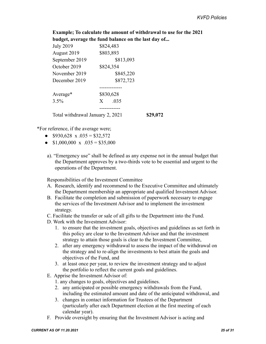**Example; To calculate the amount of withdrawal to use for the 2021 budget, average the fund balance on the last day of...**

| <b>July 2019</b>                 | \$824,483       |  |
|----------------------------------|-----------------|--|
| August 2019                      | \$803,893       |  |
| September 2019                   | \$813,093       |  |
| October 2019                     | \$824,354       |  |
| November 2019                    | \$845,220       |  |
| December 2019                    | \$872,723       |  |
| Average*                         | \$830,628       |  |
| 3.5%                             | .035<br>$X_{-}$ |  |
|                                  |                 |  |
| Total withdrawal January 2, 2021 | \$29,072        |  |

\*For reference, if the average were;

- $$930,628 \times .035 = $32,572$
- $$1,000,000 \times .035 = $35,000$
- a). "Emergency use" shall be defined as any expense not in the annual budget that the Department approves by a two-thirds vote to be essential and urgent to the operations of the Department.

Responsibilities of the Investment Committee

- A. Research, identify and recommend to the Executive Committee and ultimately the Department membership an appropriate and qualified Investment Advisor.
- B. Facilitate the completion and submission of paperwork necessary to engage the services of the Investment Advisor and to implement the investment strategy.
- C. Facilitate the transfer or sale of all gifts to the Department into the Fund.
- D. Work with the Investment Advisor:
	- 1. to ensure that the investment goals, objectives and guidelines as set forth in this policy are clear to the Investment Advisor and that the investment strategy to attain those goals is clear to the Investment Committee,
	- 2. after any emergency withdrawal to assess the impact of the withdrawal on the strategy and to re-align the investments to best attain the goals and objectives of the Fund, and
	- 3. at least once per year, to review the investment strategy and to adjust the portfolio to reflect the current goals and guidelines.
- E. Apprise the Investment Advisor of:
	- 1. any changes to goals, objectives and guidelines.
	- 2. any anticipated or possible emergency withdrawals from the Fund, including the estimated amount and date of the anticipated withdrawal, and
	- 3. changes in contact information for Trustees of the Department (particularly after each Department election at the first meeting of each calendar year).
- F. Provide oversight by ensuring that the Investment Advisor is acting and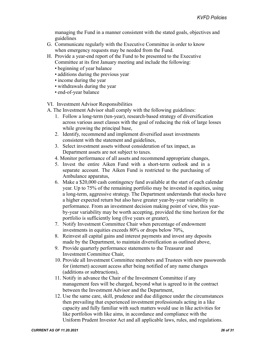managing the Fund in a manner consistent with the stated goals, objectives and guidelines

- G. Communicate regularly with the Executive Committee in order to know when emergency requests may be needed from the Fund.
- H. Provide a year-end report of the Fund to be presented to the Executive Committee at its first January meeting and include the following:
	- beginning of year balance
	- additions during the previous year
	- income during the year
	- withdrawals during the year
	- end-of-year balance

VI. Investment Advisor Responsibilities

A. The Investment Advisor shall comply with the following guidelines:

- 1. Follow a long-term (ten-year), research-based strategy of diversification across various asset classes with the goal of reducing the risk of large losses while growing the principal base,
- 2. Identify, recommend and implement diversified asset investments consistent with the statement and guidelines,
- 3. Select investment assets without consideration of tax impact, as Department assets are not subject to taxes.
- 4. Monitor performance of all assets and recommend appropriate changes,
- 5. Invest the entire Aiken Fund with a short-term outlook and in a separate account. The Aiken Fund is restricted to the purchasing of Ambulance apparatus,
- 6. Make a \$20,000 cash contingency fund available at the start of each calendar year. Up to 75% of the remaining portfolio may be invested in equities, using a long-term, aggressive strategy. The Department understands that stocks have a higher expected return but also have greater year-by-year variability in performance. From an investment decision making point of view, this yearby-year variability may be worth accepting, provided the time horizon for the portfolio is sufficiently long (five years or greater),
- 7. Notify Investment Committee Chair when percentage of endowment investments in equities exceeds 80% or drops below 70%,
- 8. Reinvest all capital gains and interest payments and invest any deposits made by the Department, to maintain diversification as outlined above,
- 9. Provide quarterly performance statements to the Treasurer and Investment Committee Chair,
- 10. Provide all Investment Committee members and Trustees with new passwords for (internet) account access after being notified of any name changes (additions or subtractions),
- 11. Notify in advance the Chair of the Investment Committee if any management fees will be charged, beyond what is agreed to in the contract between the Investment Advisor and the Department,
- 12. Use the same care, skill, prudence and due diligence under the circumstances then prevailing that experienced investment professionals acting in a like capacity and fully familiar with such matters would use in like activities for like portfolios with like aims, in accordance and compliance with the Uniform Prudent Investor Act and all applicable laws, rules, and regulations.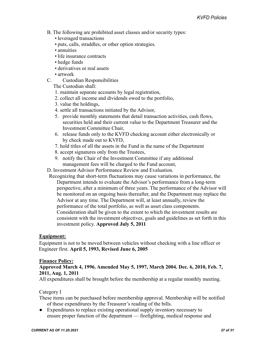- B. The following are prohibited asset classes and/or security types:
	- leveraged transactions
	- puts, calls, straddles, or other option strategies.
	- annuities
	- life insurance contracts
	- hedge funds
	- derivatives or real assets
	- artwork
- C. Custodian Responsibilities

The Custodian shall:

- 1. maintain separate accounts by legal registration,
- 2. collect all income and dividends owed to the portfolio,
- 3. value the holdings,
- 4. settle all transactions initiated by the Advisor,
- 5. provide monthly statements that detail transaction activities, cash flows, securities held and their current value to the Department Treasurer and the Investment Committee Chair,
- 6. release funds only to the KVFD checking account either electronically or by check made out to KVFD,
- 7. hold titles of all the assets in the Fund in the name of the Department
- 8. accept signatures only from the Trustees,
- 9. notify the Chair of the Investment Committee if any additional management fees will be charged to the Fund account,

D. Investment Advisor Performance Review and Evaluation.

Recognizing that short-term fluctuations may cause variations in performance, the Department intends to evaluate the Advisor's performance from a long-term perspective, after a minimum of three years. The performance of the Advisor will be monitored on an ongoing basis thereafter, and the Department may replace the Advisor at any time. The Department will, at least annually, review the performance of the total portfolio, as well as asset class components. Consideration shall be given to the extent to which the investment results are consistent with the investment objectives, goals and guidelines as set forth in this investment policy. **Approved July 5, 2011**

#### **Equipment:**

Equipment is not to be moved between vehicles without checking with a line officer or Engineer first. **April 5, 1993, Revised June 6, 2005**

#### **Finance Policy:**

#### **Approved March 4, 1996. Amended May 5, 1997, March 2004. Dec. 6, 2010, Feb. 7, 2011, Aug. 1, 2011**

All expenditures shall be brought before the membership at a regular monthly meeting.

Category I

These items can be purchased before membership approval. Membership will be notified of these expenditures by the Treasurer's reading of the bills.

● Expenditures to replace existing operational supply inventory necessary to ensure proper function of the department — firefighting, medical response and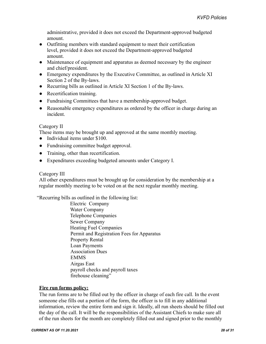administrative, provided it does not exceed the Department-approved budgeted amount.

- Outfitting members with standard equipment to meet their certification level, provided it does not exceed the Department-approved budgeted amount.
- Maintenance of equipment and apparatus as deemed necessary by the engineer and chief/president.
- Emergency expenditures by the Executive Committee, as outlined in Article XI Section 2 of the By-laws.
- Recurring bills as outlined in Article XI Section 1 of the By-laws.
- Recertification training.
- Fundraising Committees that have a membership-approved budget.
- Reasonable emergency expenditures as ordered by the officer in charge during an incident.

#### Category II

These items may be brought up and approved at the same monthly meeting.

- Individual items under \$100.
- Fundraising committee budget approval.
- Training, other than recertification.
- Expenditures exceeding budgeted amounts under Category I.

#### Category III

All other expenditures must be brought up for consideration by the membership at a regular monthly meeting to be voted on at the next regular monthly meeting.

"Recurring bills as outlined in the following list:

Electric Company Water Company Telephone Companies Sewer Company Heating Fuel Companies Permit and Registration Fees for Apparatus Property Rental Loan Payments Association Dues EMMS Airgas East payroll checks and payroll taxes firehouse cleaning"

#### **Fire run forms policy:**

The run forms are to be filled out by the officer in charge of each fire call. In the event someone else fills out a portion of the form, the officer is to fill in any additional information, review the entire form and sign it. Ideally, all run sheets should be filled out the day of the call. It will be the responsibilities of the Assistant Chiefs to make sure all of the run sheets for the month are completely filled out and signed prior to the monthly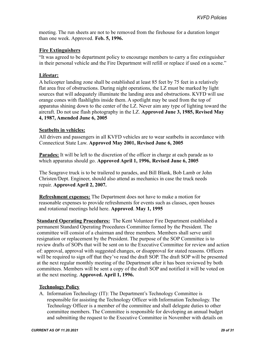meeting. The run sheets are not to be removed from the firehouse for a duration longer than one week. Approved. **Feb. 5, 1996.**

#### **Fire Extinguishers**

"It was agreed to be department policy to encourage members to carry a fire extinguisher in their personal vehicle and the Fire Department will refill or replace if used on a scene."

#### **Lifestar:**

A helicopter landing zone shall be established at least 85 feet by 75 feet in a relatively flat area free of obstructions. During night operations, the LZ must be marked by light sources that will adequately illuminate the landing area and obstructions. KVFD will use orange cones with flashlights inside them. A spotlight may be used from the top of apparatus shining down to the center of the LZ. Never aim any type of lighting toward the aircraft. Do not use flash photography in the LZ. **Approved June 3, 1985, Revised May 4, 1987, Amended June 6, 2005**

#### **Seatbelts in vehicles:**

All drivers and passengers in all KVFD vehicles are to wear seatbelts in accordance with Connecticut State Law. **Approved May 2001, Revised June 6, 2005**

**Parades:** It will be left to the discretion of the officer in charge at each parade as to which apparatus should go. **Approved April 1, 1996, Revised June 6, 2005**

The Seagrave truck is to be trailered to parades, and Bill Blank, Bob Lamb or John Christen/Dept. Engineer, should also attend as mechanics in case the truck needs repair. **Approved April 2, 2007.**

**Refreshment expenses:** The Department does not have to make a motion for reasonable expenses to provide refreshments for events such as classes, open houses and rotational meetings held here. **Approved**. **May 1, 1995**

**Standard Operating Procedures:** The Kent Volunteer Fire Department established a permanent Standard Operating Procedures Committee formed by the President. The committee will consist of a chairman and three members. Members shall serve until resignation or replacement by the President. The purpose of the SOP Committee is to review drafts of SOPs that will be sent on to the Executive Committee for review and action of: approval, approval with suggested changes, or disapproval for stated reasons. Officers will be required to sign off that they've read the draft SOP. The draft SOP will be presented at the next regular monthly meeting of the Department after it has been reviewed by both committees. Members will be sent a copy of the draft SOP and notified it will be voted on at the next meeting. **Approved. April 1, 1996.**

#### **Technology Policy**

A. Information Technology (IT): The Department's Technology Committee is responsible for assisting the Technology Officer with Information Technology. The Technology Officer is a member of the committee and shall delegate duties to other committee members. The Committee is responsible for developing an annual budget and submitting the request to the Executive Committee in November with details on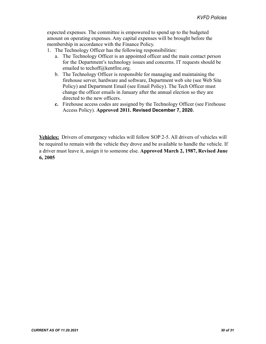expected expenses. The committee is empowered to spend up to the budgeted amount on operating expenses. Any capital expenses will be brought before the membership in accordance with the Finance Policy.

- 1. The Technology Officer has the following responsibilities:
	- a. The Technology Officer is an appointed officer and the main contact person for the Department's technology issues and concerns. IT requests should be e[mailed to techoff@kentfire.org.](mailto:techoff@kentfire.org)
	- b. The Technology Officer is responsible for managing and maintaining the firehouse server, hardware and software, Department web site (see Web Site Policy) and Department Email (see Email Policy). The Tech Officer must change the officer emails in January after the annual election so they are directed to the new officers.
	- **c.** Firehouse access codes are assigned by the Technology Officer (see Firehouse Access Policy). **Approved 2011. Revised December 7, 2020.**

**Vehicles:** Drivers of emergency vehicles will follow SOP 2-5. All drivers of vehicles will be required to remain with the vehicle they drove and be available to handle the vehicle. If a driver must leave it, assign it to someone else. **Approved March 2, 1987, Revised June 6, 2005**